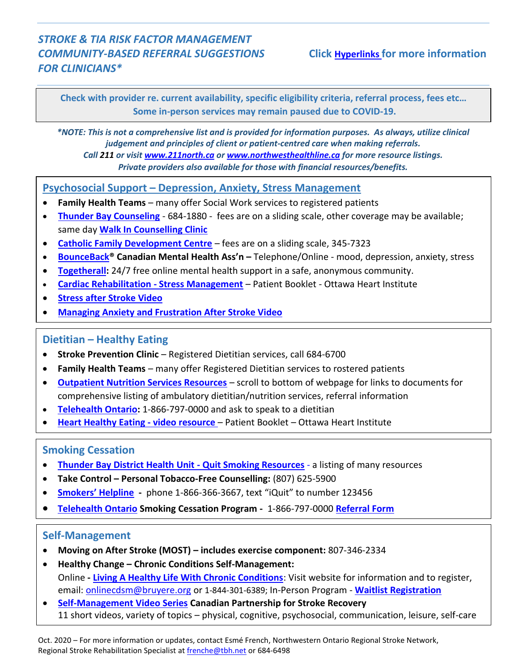## *STROKE & TIA RISK FACTOR MANAGEMENT COMMUNITY-BASED REFERRAL SUGGESTIONS* **Click Hyperlinks for more information** *FOR CLINICIANS\**

**Check with provider re. current availability, specific eligibility criteria, referral process, fees etc… Some in-person services may remain paused due to COVID-19.**

*\*NOTE: This is not a comprehensive list and is provided for information purposes. As always, utilize clinical judgement and principles of client or patient-centred care when making referrals. Call 211 or visit [www.211north.ca](http://www.211north.ca/) or [www.northwesthealthline.ca](http://www.northwesthealthline.ca/) for more resource listings. Private providers also available for those with financial resources/benefits.*

### **Psychosocial Support – Depression, Anxiety, Stress Management**

- **Family Health Teams** many offer Social Work services to registered patients
- **[Thunder Bay Counseling](https://www.tbaycounselling.com/)** 684-1880 fees are on a sliding scale, other coverage may be available; same day **[Walk In Counselling Clinic](https://www.tbaycounselling.com/walk-in-counselling/)**
- **[Catholic Family Development Centre](http://catholicfamilycentre.ca/site/)** fees are on a sliding scale, 345-7323
- **[BounceBack®](https://bouncebackontario.ca/) Canadian Mental Health Ass'n –** Telephone/Online mood, depression, anxiety, stress
- **[Togetherall:](https://otn.ca/patients/togetherall/)** 24/7 free online mental health support in a safe, anonymous community.
- **[Cardiac Rehabilitation -](https://www.ottawaheart.ca/document/cardiac-rehabilitation-stress-management) Stress Management** Patient Booklet Ottawa Heart Institute
- **[Stress after Stroke Video](https://www.youtube.com/watch?v=6qjl38DIZsU&feature=emb_logo)**
- **[Managing Anxiety and Frustration After Stroke Video](https://www.youtube.com/watch?v=KssEHSirBjw&feature=emb_logo)**

## **Dietitian – Healthy Eating**

- **Stroke Prevention Clinic** Registered Dietitian services, call 684-6700
- **Family Health Teams** many offer Registered Dietitian services to rostered patients
- **[Outpatient Nutrition Services Resources](https://www.rrcp.sjcg.net/resources)** scroll to bottom of webpage for links to documents for comprehensive listing of ambulatory dietitian/nutrition services, referral information
- **[Telehealth Ontario:](https://www.ontario.ca/page/get-medical-advice-telehealth-ontario)** 1-866-797-0000 and ask to speak to a dietitian
- **[Heart Healthy Eating -](https://www.ottawaheart.ca/coronary-artery-disease-patient-guide/heart-healthy-living) video resource** Patient Booklet Ottawa Heart Institute

### **Smoking Cessation**

- **[Thunder Bay District Health Unit -](https://www.tbdhu.com/health-topics/smoking-vaping-tobacco/quit-smoking) Quit Smoking Resources** a listing of many resources
- **•** Take Control Personal Tobacco-Free Counselling: (807) 625-5900
- **[Smokers' Helpline](http://www.smokershelpline.ca/) -** phone 1-866-366-3667, text "iQuit" to number 123456
- **[Telehealth Ontario](https://www.ontario.ca/page/get-medical-advice-telehealth-ontario) Smoking Cessation Program -** 1-866-797-0000 **[Referral Form](https://www.trcp.ca/en/prevention/Documents/Telehealth-Ontario-Smoking-Cessation-Program_Fax-Referral.pdf)**

### **Self-Management**

- **Moving on After Stroke (MOST) – includes exercise component:** 807-346-2334
- **Healthy Change – Chronic Conditions Self-Management:** Online **- [Living A Healthy Life With Chronic Conditions](http://www.selfmanagementontario.ca/,)**: Visit website for information and to register, email: [onlinecdsm@bruyere.org](mailto:onlinecdsm@bruyere.org) or 1-844-301-6389; In-Person Program - **[Waitlist Registration](https://healthychange.ca/find-register/waiting-list-registration/)**
- **[Self-Management Video Series](http://canadianstroke.ca/en/tools-resources/videos) Canadian Partnership for Stroke Recovery** 11 short videos, variety of topics – physical, cognitive, psychosocial, communication, leisure, self-care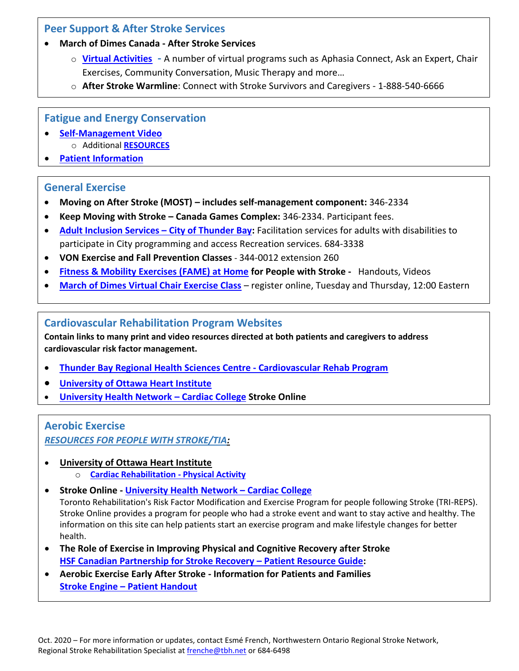## **Peer Support & After Stroke Services**

#### **March of Dimes Canada - After Stroke Services**

- o **[Virtual Activities](https://afterstroke.marchofdimes.ca/news-events/after-stroke-virtual-activities) -** A number of virtual programs such as Aphasia Connect, Ask an Expert, Chair Exercises, Community Conversation, Music Therapy and more…
- o **After Stroke Warmline**: Connect with Stroke Survivors and Caregivers 1-888-540-6666

## **Fatigue and Energy Conservation**

- **[Self-Management Video](https://www.youtube.com/watch?time_continue=3&v=qWi_Q1hgrGg&feature=emb_logo)**  o Additional **[RESOURCES](https://www.canadianstroke.ca/sites/default/files/inline-files/Resources%20-Fatigue%20%20Energy%20Conservation%20after%20Stroke_July%209.pdf)**
- **[Patient Information](https://www.strokengine.ca/en/patient-info/fatigue-patient-info/)**

## **General Exercise**

- **Moving on After Stroke (MOST) – includes self-management component:** 346-2334
- **Keep Moving with Stroke – Canada Games Complex:** 346-2334. Participant fees.
- **Adult Inclusion Services – [City of Thunder Bay:](https://www.thunderbay.ca/en/recreation/adult-inclusion-services.aspx)** Facilitation services for adults with disabilities to participate in City programming and access Recreation services. 684-3338
- **VON Exercise and Fall Prevention Classes** 344-0012 extension 260
- **[Fitness & Mobility Exercises \(FAME\) at Home](http://www.fameexercise.com/famehome/) for People with Stroke** Handouts, Videos
- **[March of Dimes Virtual Chair Exercise Class](•%09https:/docs.google.com/forms/d/e/1FAIpQLSd4uHRe8NiMbPYWjVmGiTlcI1H_nr7Pqz1gP_r-CxZd17GmHA/viewform)** register online, Tuesday and Thursday, 12:00 Eastern

## **Cardiovascular Rehabilitation Program Websites**

**Contain links to many print and video resources directed at both patients and caregivers to address cardiovascular risk factor management.**

- **[Thunder Bay Regional Health Sciences Centre -](https://tbrhsc.net/programs-services/cardiovascular-rehabilitation-program/resources/) Cardiovascular Rehab Program**
- **[University of Ottawa Heart Institute](https://www.ottawaheart.ca/)**
- **[University Health Network](https://www.healtheuniversity.ca/en/CardiacCollege) – Cardiac College Stroke Online**

# **Aerobic Exercise**

*RESOURCES FOR PEOPLE WITH STROKE/TIA:*

- **University of Ottawa Heart Institute**
	- o **[Cardiac Rehabilitation -](https://www.ottawaheart.ca/document/cardiac-rehabilitation-physical-activity) Physical Activity**
- **Stroke Online - [University Health Network](https://www.healtheuniversity.ca/en/CardiacCollege) – Cardiac College**

Toronto Rehabilitation's Risk Factor Modification and Exercise Program for people following Stroke (TRI-REPS). Stroke Online provides a program for people who had a stroke event and want to stay active and healthy. The information on this site can help patients start an exercise program and make lifestyle changes for better health.

- **The Role of Exercise in Improving Physical and Cognitive Recovery after Stroke [HSF Canadian Partnership for Stroke Recovery](https://www.canadianstroke.ca/sites/default/files/resources/CPSR_Guide_Patients-English_WEB3.pdf) – Patient Resource Guide:**
- **Aerobic Exercise Early After Stroke - Information for Patients and Families Stroke Engine – [Patient Handout](https://www.strokengine.ca/wp-content/uploads/2015/02/Aerobic-Exercise-Patient-Family-Information-1.pdf)**